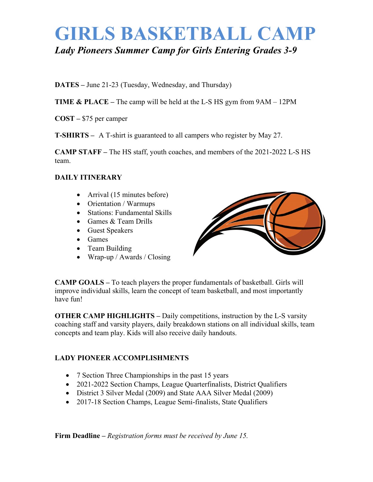# **GIRLS BASKETBALL CAMP** *Lady Pioneers Summer Camp for Girls Entering Grades 3-9*

**DATES –** June 21-23 (Tuesday, Wednesday, and Thursday)

**TIME & PLACE –** The camp will be held at the L-S HS gym from 9AM – 12PM

**COST –** \$75 per camper

**T-SHIRTS –** A T-shirt is guaranteed to all campers who register by May 27.

**CAMP STAFF –** The HS staff, youth coaches, and members of the 2021-2022 L-S HS team.

#### **DAILY ITINERARY**

- Arrival (15 minutes before)
- Orientation / Warmups
- Stations: Fundamental Skills
- Games & Team Drills
- Guest Speakers
- Games
- Team Building
- Wrap-up / Awards / Closing



**CAMP GOALS –** To teach players the proper fundamentals of basketball. Girls will improve individual skills, learn the concept of team basketball, and most importantly have fun!

**OTHER CAMP HIGHLIGHTS –** Daily competitions, instruction by the L-S varsity coaching staff and varsity players, daily breakdown stations on all individual skills, team concepts and team play. Kids will also receive daily handouts.

#### **LADY PIONEER ACCOMPLISHMENTS**

- 7 Section Three Championships in the past 15 years
- 2021-2022 Section Champs, League Quarterfinalists, District Qualifiers
- District 3 Silver Medal (2009) and State AAA Silver Medal (2009)
- 2017-18 Section Champs, League Semi-finalists, State Qualifiers

**Firm Deadline –** *Registration forms must be received by June 15.*